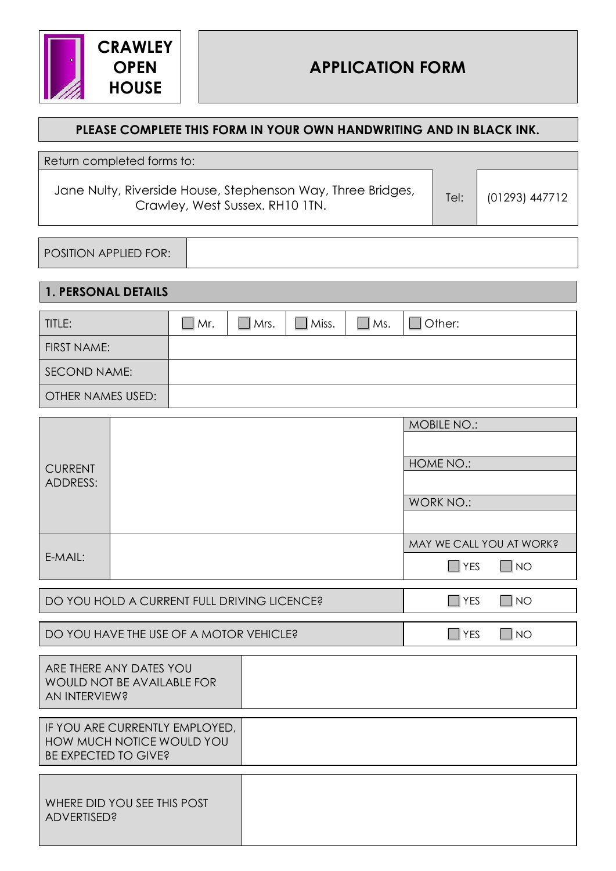

## **PLEASE COMPLETE THIS FORM IN YOUR OWN HANDWRITING AND IN BLACK INK.**

Jane Nulty, Riverside House, Stephenson Way, Three Bridges, Iverside House, stephenson way, milee bridges,<br>Crawley, West Sussex. RH10 1TN. The film of the film (01293) 447712

POSITION APPLIED FOR:

|                                                                                     | <b>1. PERSONAL DETAILS</b> |            |             |              |               |                          |              |  |
|-------------------------------------------------------------------------------------|----------------------------|------------|-------------|--------------|---------------|--------------------------|--------------|--|
| TITLE:                                                                              |                            | $\Box$ Mr. | $\Box$ Mrs. | $\Box$ Miss. | $\square$ Ms. | Other:<br>$\mathbf{I}$   |              |  |
| <b>FIRST NAME:</b>                                                                  |                            |            |             |              |               |                          |              |  |
| SECOND NAME:                                                                        |                            |            |             |              |               |                          |              |  |
| <b>OTHER NAMES USED:</b>                                                            |                            |            |             |              |               |                          |              |  |
|                                                                                     |                            |            |             |              |               | <b>MOBILE NO.:</b>       |              |  |
|                                                                                     |                            |            |             |              |               |                          |              |  |
| <b>CURRENT</b>                                                                      |                            |            |             |              |               | HOME NO.:                |              |  |
| <b>ADDRESS:</b>                                                                     |                            |            |             |              |               |                          |              |  |
|                                                                                     |                            |            |             |              |               | <b>WORK NO.:</b>         |              |  |
|                                                                                     |                            |            |             |              |               | MAY WE CALL YOU AT WORK? |              |  |
| E-MAIL:                                                                             |                            |            |             |              |               | $\Box$ YES               | $\Box$ No    |  |
| DO YOU HOLD A CURRENT FULL DRIVING LICENCE?                                         |                            |            |             |              |               | $\Box$ YES               | $\Box$ No    |  |
|                                                                                     |                            |            |             |              |               |                          |              |  |
| DO YOU HAVE THE USE OF A MOTOR VEHICLE?                                             |                            |            |             |              |               | $\Box$ YES               | $\square$ NO |  |
| ARE THERE ANY DATES YOU<br>WOULD NOT BE AVAILABLE FOR<br>AN INTERVIEW?              |                            |            |             |              |               |                          |              |  |
| IF YOU ARE CURRENTLY EMPLOYED,<br>HOW MUCH NOTICE WOULD YOU<br>BE EXPECTED TO GIVE? |                            |            |             |              |               |                          |              |  |
| WHERE DID YOU SEE THIS POST<br><b>ADVERTISED?</b>                                   |                            |            |             |              |               |                          |              |  |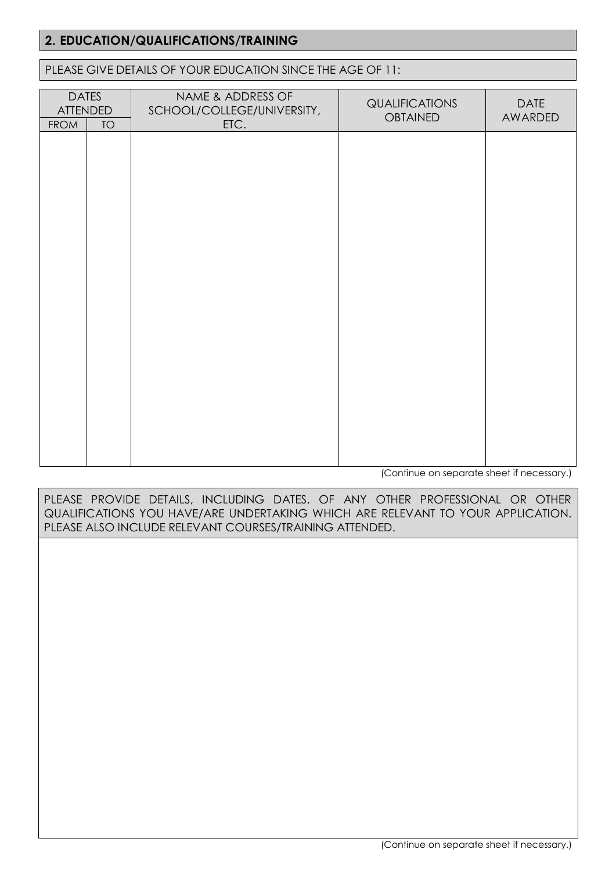# **2. EDUCATION/QUALIFICATIONS/TRAINING**

#### PLEASE GIVE DETAILS OF YOUR EDUCATION SINCE THE AGE OF 11:

| <b>DATES</b><br><b>ATTENDED</b><br><b>FROM</b><br><b>TO</b> | NAME & ADDRESS OF<br>SCHOOL/COLLEGE/UNIVERSITY,<br>ETC. | <b>QUALIFICATIONS</b><br><b>OBTAINED</b> | <b>DATE</b><br>AWARDED |
|-------------------------------------------------------------|---------------------------------------------------------|------------------------------------------|------------------------|
|                                                             |                                                         |                                          |                        |
|                                                             |                                                         |                                          |                        |
|                                                             |                                                         |                                          |                        |
|                                                             |                                                         |                                          |                        |
|                                                             |                                                         |                                          |                        |
|                                                             |                                                         |                                          |                        |
|                                                             |                                                         |                                          |                        |
|                                                             |                                                         |                                          |                        |
|                                                             |                                                         |                                          |                        |
|                                                             |                                                         |                                          |                        |

(Continue on separate sheet if necessary.)

PLEASE PROVIDE DETAILS, INCLUDING DATES, OF ANY OTHER PROFESSIONAL OR OTHER QUALIFICATIONS YOU HAVE/ARE UNDERTAKING WHICH ARE RELEVANT TO YOUR APPLICATION. PLEASE ALSO INCLUDE RELEVANT COURSES/TRAINING ATTENDED.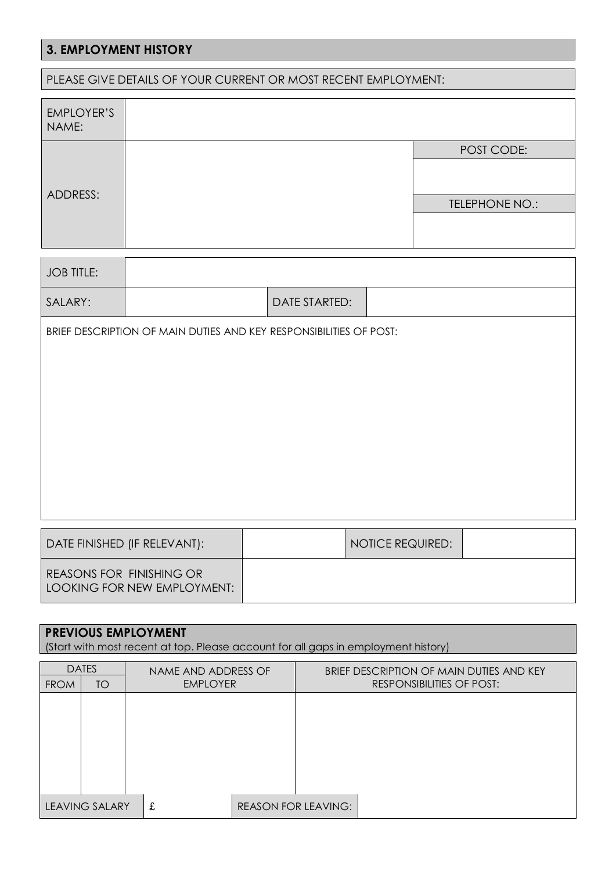# **3. EMPLOYMENT HISTORY**

| PLEASE GIVE DETAILS OF YOUR CURRENT OR MOST RECENT EMPLOYMENT: |                                                                    |  |                      |  |                         |                |  |
|----------------------------------------------------------------|--------------------------------------------------------------------|--|----------------------|--|-------------------------|----------------|--|
| <b>EMPLOYER'S</b><br>NAME:                                     |                                                                    |  |                      |  |                         |                |  |
|                                                                |                                                                    |  |                      |  |                         | POST CODE:     |  |
| ADDRESS:                                                       |                                                                    |  |                      |  |                         | TELEPHONE NO.: |  |
| <b>JOB TITLE:</b>                                              |                                                                    |  |                      |  |                         |                |  |
| SALARY:                                                        |                                                                    |  | <b>DATE STARTED:</b> |  |                         |                |  |
|                                                                | BRIEF DESCRIPTION OF MAIN DUTIES AND KEY RESPONSIBILITIES OF POST: |  |                      |  |                         |                |  |
| DATE FINISHED (IF RELEVANT):                                   |                                                                    |  |                      |  | <b>NOTICE REQUIRED:</b> |                |  |
| REASONS FOR FINISHING OR                                       | LOOKING FOR NEW EMPLOYMENT:                                        |  |                      |  |                         |                |  |

# **PREVIOUS EMPLOYMENT**

(Start with most recent at top. Please account for all gaps in employment history)

|             | <b>DATES</b>          | NAME AND ADDRESS OF |                            | BRIEF DESCRIPTION OF MAIN DUTIES AND KEY |
|-------------|-----------------------|---------------------|----------------------------|------------------------------------------|
| <b>FROM</b> | TO                    | <b>EMPLOYER</b>     |                            | RESPONSIBILITIES OF POST:                |
|             |                       |                     |                            |                                          |
|             |                       |                     |                            |                                          |
|             |                       |                     |                            |                                          |
|             |                       |                     |                            |                                          |
|             |                       |                     |                            |                                          |
|             |                       |                     |                            |                                          |
|             |                       |                     |                            |                                          |
|             | <b>LEAVING SALARY</b> | £                   | <b>REASON FOR LEAVING:</b> |                                          |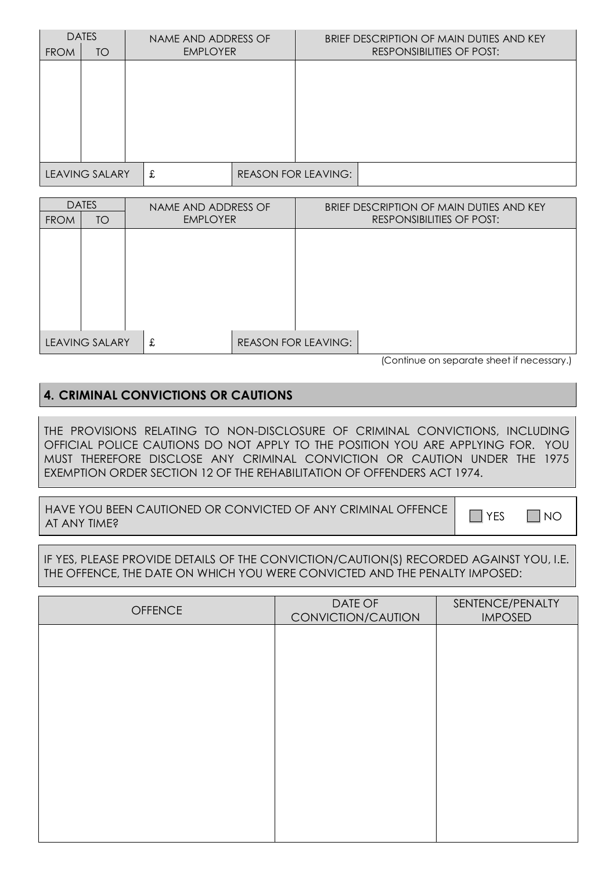|             | <b>DATES</b>          |   | NAME AND ADDRESS OF |                            | BRIEF DESCRIPTION OF MAIN DUTIES AND KEY |
|-------------|-----------------------|---|---------------------|----------------------------|------------------------------------------|
| <b>FROM</b> | <b>TO</b>             |   | <b>EMPLOYER</b>     |                            | RESPONSIBILITIES OF POST:                |
|             |                       |   |                     |                            |                                          |
|             |                       |   |                     |                            |                                          |
|             |                       |   |                     |                            |                                          |
|             |                       |   |                     |                            |                                          |
|             |                       |   |                     |                            |                                          |
|             |                       |   |                     |                            |                                          |
|             |                       |   |                     |                            |                                          |
|             | <b>LEAVING SALARY</b> | £ |                     | <b>REASON FOR LEAVING:</b> |                                          |

| <b>DATES</b> |                       | NAME AND ADDRESS OF |  |                            | BRIEF DESCRIPTION OF MAIN DUTIES AND KEY |  |  |
|--------------|-----------------------|---------------------|--|----------------------------|------------------------------------------|--|--|
| <b>FROM</b>  | <b>TO</b>             | <b>EMPLOYER</b>     |  |                            | <b>RESPONSIBILITIES OF POST:</b>         |  |  |
|              |                       |                     |  |                            |                                          |  |  |
|              |                       |                     |  |                            |                                          |  |  |
|              |                       |                     |  |                            |                                          |  |  |
|              |                       |                     |  |                            |                                          |  |  |
|              |                       |                     |  |                            |                                          |  |  |
|              |                       |                     |  |                            |                                          |  |  |
|              |                       |                     |  |                            |                                          |  |  |
|              |                       |                     |  |                            |                                          |  |  |
|              | <b>LEAVING SALARY</b> | £                   |  | <b>REASON FOR LEAVING:</b> |                                          |  |  |
|              |                       |                     |  |                            | $\sim$ $\sim$ $\sim$                     |  |  |

(Continue on separate sheet if necessary.)

## **4. CRIMINAL CONVICTIONS OR CAUTIONS**

THE PROVISIONS RELATING TO NON-DISCLOSURE OF CRIMINAL CONVICTIONS, INCLUDING OFFICIAL POLICE CAUTIONS DO NOT APPLY TO THE POSITION YOU ARE APPLYING FOR. YOU MUST THEREFORE DISCLOSE ANY CRIMINAL CONVICTION OR CAUTION UNDER THE 1975 EXEMPTION ORDER SECTION 12 OF THE REHABILITATION OF OFFENDERS ACT 1974.

HAVE YOU BEEN CAUTIONED OR CONVICTED OF ANY CRIMINAL OFFENCE │ └ │ YES │ └ │ NO<br>AT ANY TIME?

IF YES, PLEASE PROVIDE DETAILS OF THE CONVICTION/CAUTION(S) RECORDED AGAINST YOU, I.E. THE OFFENCE, THE DATE ON WHICH YOU WERE CONVICTED AND THE PENALTY IMPOSED:

| <b>OFFENCE</b> | DATE OF<br>CONVICTION/CAUTION | SENTENCE/PENALTY<br><b>IMPOSED</b> |
|----------------|-------------------------------|------------------------------------|
|                |                               |                                    |
|                |                               |                                    |
|                |                               |                                    |
|                |                               |                                    |
|                |                               |                                    |
|                |                               |                                    |
|                |                               |                                    |
|                |                               |                                    |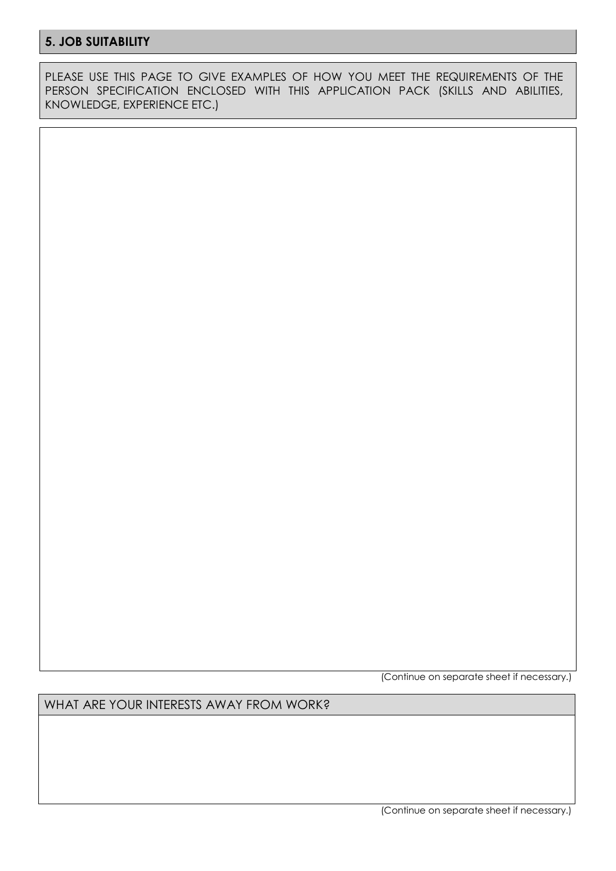## **5. JOB SUITABILITY**

PLEASE USE THIS PAGE TO GIVE EXAMPLES OF HOW YOU MEET THE REQUIREMENTS OF THE PERSON SPECIFICATION ENCLOSED WITH THIS APPLICATION PACK (SKILLS AND ABILITIES, KNOWLEDGE, EXPERIENCE ETC.)

(Continue on separate sheet if necessary.)

WHAT ARE YOUR INTERESTS AWAY FROM WORK?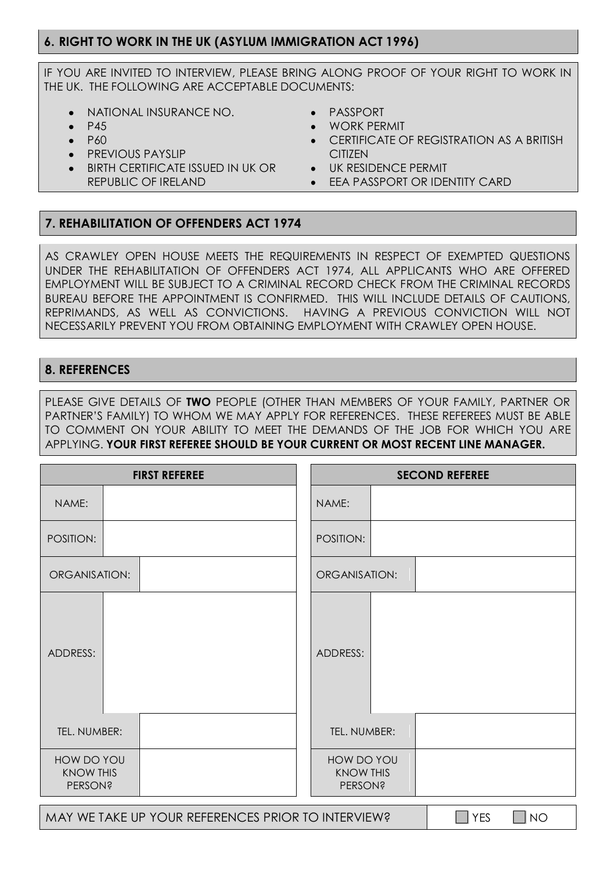## **6. RIGHT TO WORK IN THE UK (ASYLUM IMMIGRATION ACT 1996)**

IF YOU ARE INVITED TO INTERVIEW, PLEASE BRING ALONG PROOF OF YOUR RIGHT TO WORK IN THE UK. THE FOLLOWING ARE ACCEPTABLE DOCUMENTS:

- NATIONAL INSURANCE NO.
- P45
- P60
- PREVIOUS PAYSLIP
- BIRTH CERTIFICATE ISSUED IN UK OR REPUBLIC OF IRELAND
- PASSPORT
- WORK PERMIT
- CERTIFICATE OF REGISTRATION AS A BRITISH **CITIZEN**
- UK RESIDENCE PERMIT
- EEA PASSPORT OR IDENTITY CARD

### **7. REHABILITATION OF OFFENDERS ACT 1974**

AS CRAWLEY OPEN HOUSE MEETS THE REQUIREMENTS IN RESPECT OF EXEMPTED QUESTIONS UNDER THE REHABILITATION OF OFFENDERS ACT 1974, ALL APPLICANTS WHO ARE OFFERED EMPLOYMENT WILL BE SUBJECT TO A CRIMINAL RECORD CHECK FROM THE CRIMINAL RECORDS BUREAU BEFORE THE APPOINTMENT IS CONFIRMED. THIS WILL INCLUDE DETAILS OF CAUTIONS, REPRIMANDS, AS WELL AS CONVICTIONS. HAVING A PREVIOUS CONVICTION WILL NOT NECESSARILY PREVENT YOU FROM OBTAINING EMPLOYMENT WITH CRAWLEY OPEN HOUSE.

## **8. REFERENCES**

PLEASE GIVE DETAILS OF **TWO** PEOPLE (OTHER THAN MEMBERS OF YOUR FAMILY, PARTNER OR PARTNER'S FAMILY) TO WHOM WE MAY APPLY FOR REFERENCES. THESE REFEREES MUST BE ABLE TO COMMENT ON YOUR ABILITY TO MEET THE DEMANDS OF THE JOB FOR WHICH YOU ARE APPLYING. **YOUR FIRST REFEREE SHOULD BE YOUR CURRENT OR MOST RECENT LINE MANAGER.**

|                                                  | <b>FIRST REFEREE</b>                               |                                                  | <b>SECOND REFEREE</b> |                    |  |  |
|--------------------------------------------------|----------------------------------------------------|--------------------------------------------------|-----------------------|--------------------|--|--|
| NAME:                                            |                                                    | NAME:                                            |                       |                    |  |  |
| POSITION:                                        |                                                    | POSITION:                                        |                       |                    |  |  |
| ORGANISATION:                                    |                                                    | ORGANISATION:                                    |                       |                    |  |  |
| ADDRESS:                                         |                                                    | ADDRESS:                                         |                       |                    |  |  |
| TEL. NUMBER:                                     |                                                    | TEL. NUMBER:                                     |                       |                    |  |  |
| HOW DO YOU<br><b>KNOW THIS</b><br><b>PERSON?</b> |                                                    | HOW DO YOU<br><b>KNOW THIS</b><br><b>PERSON?</b> |                       |                    |  |  |
|                                                  | MAY WE TAKE UP YOUR REFERENCES PRIOR TO INTERVIEW? |                                                  |                       | <b>YES</b><br>  NO |  |  |